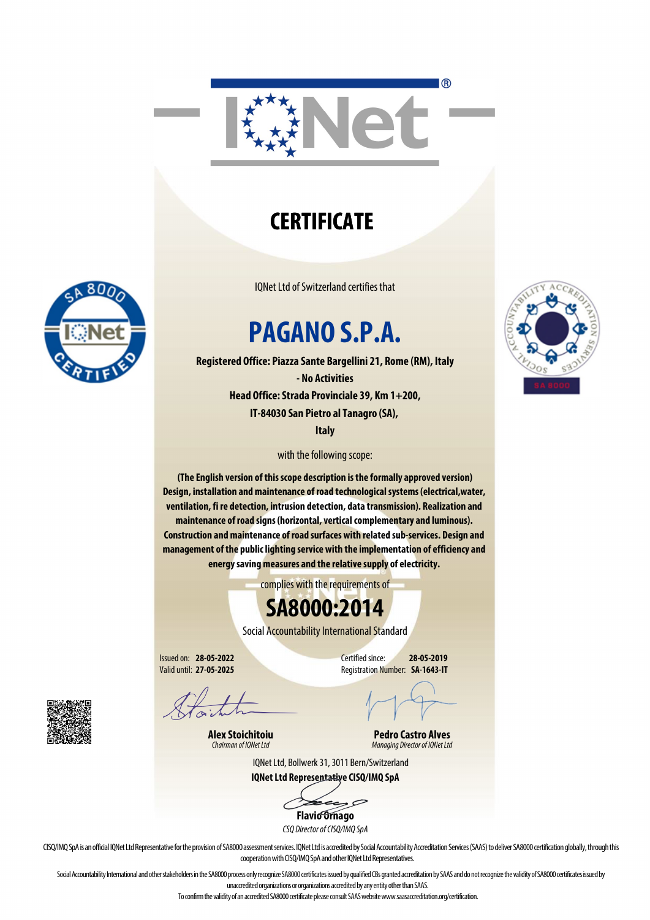

## **CERTIFICATE**

IQNet Ltd of Switzerland certifies that

# **PAGANO S.P.A.**

**Registered Office: Piazza Sante Bargellini 21, Rome (RM), Italy - No Activities Head Office: Strada Provinciale 39, Km 1+200, IT-84030 San Pietro al Tanagro (SA),** 

**Italy**

with the following scope:

**(The English version of this scope description is the formally approved version) Design, installation and maintenance of road technological systems (electrical,water, ventilation, fi re detection, intrusion detection, data transmission). Realization and maintenance of road signs (horizontal, vertical complementary and luminous). Construction and maintenance of road surfaces with related sub-services. Design and management of the public lighting service with the implementation of efficiency and energy saving measures and the relative supply of electricity.** 

complies with the requirements of

### **SA8000:2014**

Social Accountability International Standard

Issued on: **28-05-2022** Valid until: **27-05-2025**

Certified since: **28-05-2019** Registration Number: **SA-1643-IT**

**Alex Stoichitoiu** *Chairman of IQNet Ltd*

**Pedro Castro Alves** *Managing Director of IQNet Ltd*

IQNet Ltd, Bollwerk 31, 3011 Bern/Switzerland **IQNet Ltd Representative CISQ/IMQ SpA**

 $\mathcal{P}$ 

**Flavio Ornago** *CSQ Director of CISQ/IMQ SpA*

CISQ/IMQ SpA is an official IQNet Ltd Representative for the provision of SA8000 assessment services. IQNet Ltd is accredited by Social Accountability Accreditation Services (SAAS) to deliver SA8000 certification globally, cooperation with CISQ/IMQ SpA and other IQNet Ltd Representatives.

Social Accountability International and other stakeholders in the SA8000 process only recognize SA8000 certificates issued by qualified CBs granted accreditation by SAAS and do not recognize the validity of SA8000 certific unaccredited organizations or organizations accredited by any entity other than SAAS.

To confirm the validity of an accredited SA8000 certificate please consult SAAS website www.saasaccreditation.org/certification.